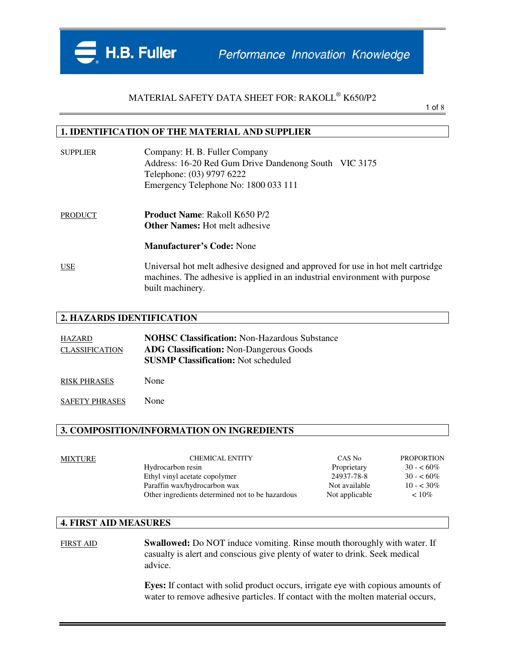

1 of 8

#### **1. IDENTIFICATION OF THE MATERIAL AND SUPPLIER**

| <b>SUPPLIER</b> | Company: H. B. Fuller Company<br>Address: 16-20 Red Gum Drive Dandenong South VIC 3175<br>Telephone: (03) 9797 6222<br>Emergency Telephone No: 1800 033 111                        |
|-----------------|------------------------------------------------------------------------------------------------------------------------------------------------------------------------------------|
| <b>PRODUCT</b>  | <b>Product Name: Rakoll K650 P/2</b><br><b>Other Names:</b> Hot melt adhesive                                                                                                      |
|                 | <b>Manufacturer's Code: None</b>                                                                                                                                                   |
| <b>USE</b>      | Universal hot melt adhesive designed and approved for use in hot melt cartridge<br>machines. The adhesive is applied in an industrial environment with purpose<br>built machinery. |

### **2. HAZARDS IDENTIFICATION**

| HAZARD                | <b>NOHSC Classification: Non-Hazardous Substance</b> |
|-----------------------|------------------------------------------------------|
| <b>CLASSIFICATION</b> | <b>ADG Classification:</b> Non-Dangerous Goods       |
|                       | <b>SUSMP Classification:</b> Not scheduled           |
| <b>RISK PHRASES</b>   | None                                                 |

SAFETY PHRASES None

#### **3. COMPOSITION/INFORMATION ON INGREDIENTS**

| MIXTURE | <b>CHEMICAL ENTITY</b>                           | CAS No         | <b>PROPORTION</b> |
|---------|--------------------------------------------------|----------------|-------------------|
|         | Hydrocarbon resin                                | Proprietary    | $30 - 60\%$       |
|         | Ethyl vinyl acetate copolymer                    | 24937-78-8     | $30 - 60\%$       |
|         | Paraffin wax/hydrocarbon wax                     | Not available  | $10 - 30\%$       |
|         | Other ingredients determined not to be hazardous | Not applicable | $~10\%$           |
|         |                                                  |                |                   |

### **4. FIRST AID MEASURES**

FIRST AID **Swallowed:** Do NOT induce vomiting. Rinse mouth thoroughly with water. If casualty is alert and conscious give plenty of water to drink. Seek medical advice.

> **Eyes:** If contact with solid product occurs, irrigate eye with copious amounts of water to remove adhesive particles. If contact with the molten material occurs,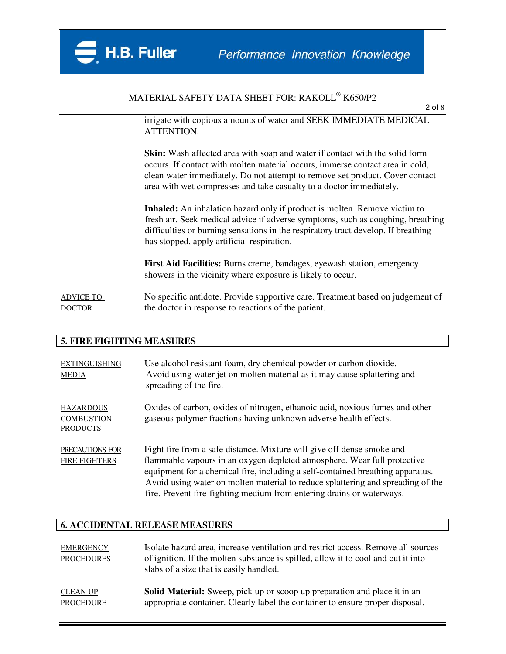

2 of 8

irrigate with copious amounts of water and SEEK IMMEDIATE MEDICAL ATTENTION.

**Skin:** Wash affected area with soap and water if contact with the solid form occurs. If contact with molten material occurs, immerse contact area in cold, clean water immediately. Do not attempt to remove set product. Cover contact area with wet compresses and take casualty to a doctor immediately.

**Inhaled:** An inhalation hazard only if product is molten. Remove victim to fresh air. Seek medical advice if adverse symptoms, such as coughing, breathing difficulties or burning sensations in the respiratory tract develop. If breathing has stopped, apply artificial respiration.

**First Aid Facilities:** Burns creme, bandages, eyewash station, emergency showers in the vicinity where exposure is likely to occur.

ADVICE TO No specific antidote. Provide supportive care. Treatment based on judgement of DOCTOR the doctor in response to reactions of the patient.

#### **5. FIRE FIGHTING MEASURES**

| <b>EXTINGUISHING</b><br><b>MEDIA</b>                     | Use alcohol resistant foam, dry chemical powder or carbon dioxide.<br>Avoid using water jet on molten material as it may cause splattering and<br>spreading of the fire.                                                                                                                                                                                                                         |
|----------------------------------------------------------|--------------------------------------------------------------------------------------------------------------------------------------------------------------------------------------------------------------------------------------------------------------------------------------------------------------------------------------------------------------------------------------------------|
| <b>HAZARDOUS</b><br><b>COMBUSTION</b><br><b>PRODUCTS</b> | Oxides of carbon, oxides of nitrogen, ethanoic acid, noxious fumes and other<br>gaseous polymer fractions having unknown adverse health effects.                                                                                                                                                                                                                                                 |
| PRECAUTIONS FOR<br><b>FIRE FIGHTERS</b>                  | Fight fire from a safe distance. Mixture will give off dense smoke and<br>flammable vapours in an oxygen depleted atmosphere. Wear full protective<br>equipment for a chemical fire, including a self-contained breathing apparatus.<br>Avoid using water on molten material to reduce splattering and spreading of the<br>fire. Prevent fire-fighting medium from entering drains or waterways. |

#### **6. ACCIDENTAL RELEASE MEASURES**

| <b>EMERGENCY</b><br><b>PROCEDURES</b> | Isolate hazard area, increase ventilation and restrict access. Remove all sources<br>of ignition. If the molten substance is spilled, allow it to cool and cut it into<br>slabs of a size that is easily handled. |
|---------------------------------------|-------------------------------------------------------------------------------------------------------------------------------------------------------------------------------------------------------------------|
| <b>CLEAN UP</b>                       | Solid Material: Sweep, pick up or scoop up preparation and place it in an                                                                                                                                         |
| <b>PROCEDURE</b>                      | appropriate container. Clearly label the container to ensure proper disposal.                                                                                                                                     |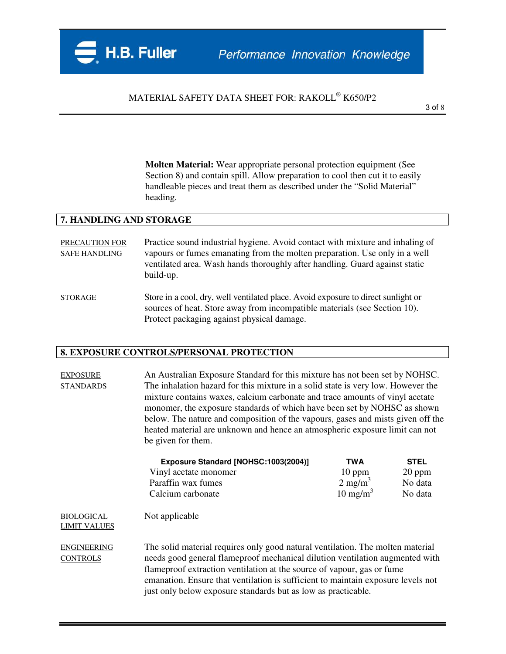**Molten Material:** Wear appropriate personal protection equipment (See Section 8) and contain spill. Allow preparation to cool then cut it to easily handleable pieces and treat them as described under the "Solid Material" heading.

#### **7. HANDLING AND STORAGE**

PRECAUTION FOR Practice sound industrial hygiene. Avoid contact with mixture and inhaling of SAFE HANDLING vapours or fumes emanating from the molten preparation. Use only in a well ventilated area. Wash hands thoroughly after handling. Guard against static build-up.

STORAGE Store in a cool, dry, well ventilated place. Avoid exposure to direct sunlight or sources of heat. Store away from incompatible materials (see Section 10). Protect packaging against physical damage.

#### **8. EXPOSURE CONTROLS/PERSONAL PROTECTION**

EXPOSURE An Australian Exposure Standard for this mixture has not been set by NOHSC. STANDARDS The inhalation hazard for this mixture in a solid state is very low. However the mixture contains waxes, calcium carbonate and trace amounts of vinyl acetate monomer, the exposure standards of which have been set by NOHSC as shown below. The nature and composition of the vapours, gases and mists given off the heated material are unknown and hence an atmospheric exposure limit can not be given for them.

|                    | Exposure Standard [NOHSC:1003(2004)] | TWA                   | <b>STEL</b> |
|--------------------|--------------------------------------|-----------------------|-------------|
|                    | Vinyl acetate monomer                | $10$ ppm              | $20$ ppm    |
| Paraffin wax fumes |                                      | $2$ mg/m <sup>3</sup> | No data     |
| Calcium carbonate  |                                      | $10 \text{ mg/m}^3$   | No data     |
| 31. UU<br>-----    |                                      |                       |             |

BIOLOGICAL Not applicable LIMIT VALUES

ENGINEERING The solid material requires only good natural ventilation. The molten material CONTROLS needs good general flameproof mechanical dilution ventilation augmented with flameproof extraction ventilation at the source of vapour, gas or fume emanation. Ensure that ventilation is sufficient to maintain exposure levels not just only below exposure standards but as low as practicable.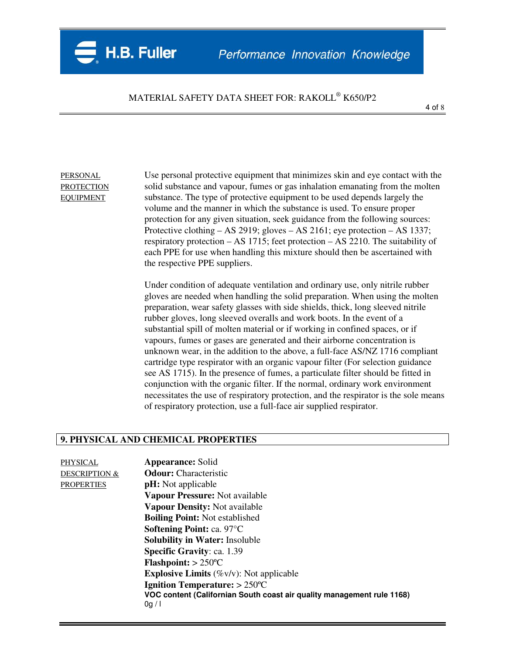PERSONAL Use personal protective equipment that minimizes skin and eye contact with the PROTECTION solid substance and vapour, fumes or gas inhalation emanating from the molten EQUIPMENT substance. The type of protective equipment to be used depends largely the volume and the manner in which the substance is used. To ensure proper protection for any given situation, seek guidance from the following sources: Protective clothing – AS 2919; gloves – AS 2161; eye protection – AS 1337; respiratory protection – AS 1715; feet protection – AS 2210. The suitability of each PPE for use when handling this mixture should then be ascertained with the respective PPE suppliers.

> Under condition of adequate ventilation and ordinary use, only nitrile rubber gloves are needed when handling the solid preparation. When using the molten preparation, wear safety glasses with side shields, thick, long sleeved nitrile rubber gloves, long sleeved overalls and work boots. In the event of a substantial spill of molten material or if working in confined spaces, or if vapours, fumes or gases are generated and their airborne concentration is unknown wear, in the addition to the above, a full-face AS/NZ 1716 compliant cartridge type respirator with an organic vapour filter (For selection guidance see AS 1715). In the presence of fumes, a particulate filter should be fitted in conjunction with the organic filter. If the normal, ordinary work environment necessitates the use of respiratory protection, and the respirator is the sole means of respiratory protection, use a full-face air supplied respirator.

### **9. PHYSICAL AND CHEMICAL PROPERTIES**

PHYSICAL **Appearance:** Solid

DESCRIPTION & **Odour:** Characteristic PROPERTIES **pH:** Not applicable **Vapour Pressure:** Not available **Vapour Density:** Not available **Boiling Point:** Not established **Softening Point:** ca. 97°C **Solubility in Water:** Insoluble **Specific Gravity**: ca. 1.39 **Flashpoint:** > 250ºC **Explosive Limits** (%v/v): Not applicable **Ignition Temperature:** > 250ºC **VOC content (Californian South coast air quality management rule 1168)**  0g / l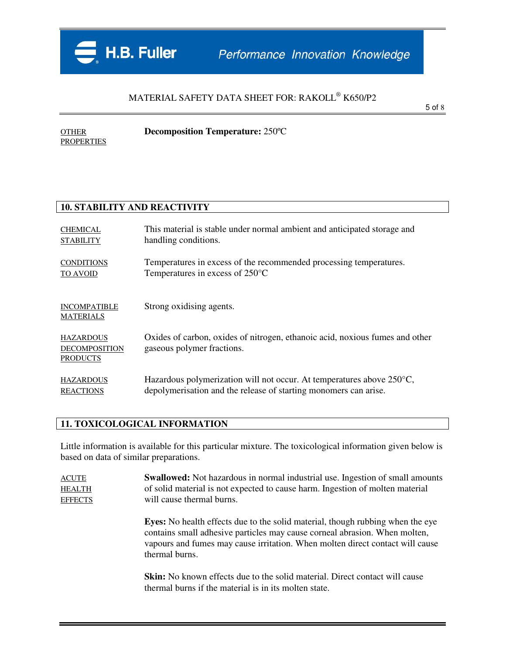

5 of 8

OTHER **Decomposition Temperature:** 250ºC PROPERTIES

### **10. STABILITY AND REACTIVITY**

| <b>CHEMICAL</b>                                             | This material is stable under normal ambient and anticipated storage and                                   |
|-------------------------------------------------------------|------------------------------------------------------------------------------------------------------------|
| <b>STABILITY</b>                                            | handling conditions.                                                                                       |
| <b>CONDITIONS</b>                                           | Temperatures in excess of the recommended processing temperatures.                                         |
| TO AVOID                                                    | Temperatures in excess of $250^{\circ}$ C                                                                  |
| <b>INCOMPATIBLE</b><br><b>MATERIALS</b>                     | Strong oxidising agents.                                                                                   |
| <b>HAZARDOUS</b><br><b>DECOMPOSITION</b><br><b>PRODUCTS</b> | Oxides of carbon, oxides of nitrogen, ethanoic acid, noxious fumes and other<br>gaseous polymer fractions. |
| <b>HAZARDOUS</b>                                            | Hazardous polymerization will not occur. At temperatures above $250^{\circ}$ C,                            |
| <b>REACTIONS</b>                                            | depolymerisation and the release of starting monomers can arise.                                           |

## **11. TOXICOLOGICAL INFORMATION**

Little information is available for this particular mixture. The toxicological information given below is based on data of similar preparations.

| <b>ACUTE</b>   | <b>Swallowed:</b> Not hazardous in normal industrial use. Ingestion of small amounts |
|----------------|--------------------------------------------------------------------------------------|
| <b>HEALTH</b>  | of solid material is not expected to cause harm. In gestion of molten material       |
| <b>EFFECTS</b> | will cause thermal burns.                                                            |

**Eyes:** No health effects due to the solid material, though rubbing when the eye contains small adhesive particles may cause corneal abrasion. When molten, vapours and fumes may cause irritation. When molten direct contact will cause thermal burns.

**Skin:** No known effects due to the solid material. Direct contact will cause thermal burns if the material is in its molten state.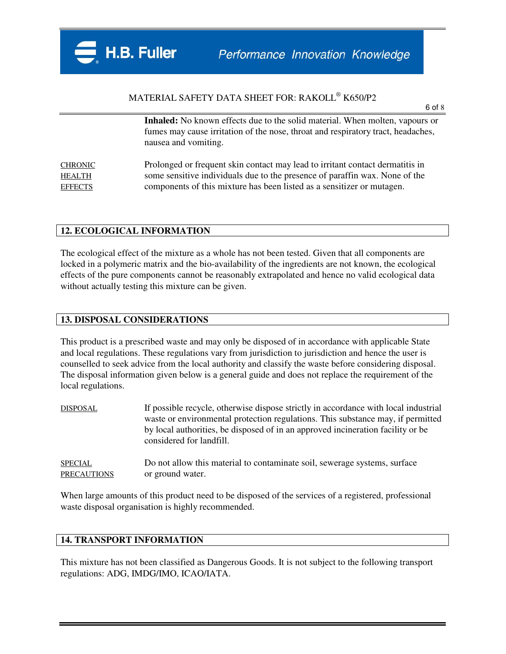6 of 8

**Inhaled:** No known effects due to the solid material. When molten, vapours or fumes may cause irritation of the nose, throat and respiratory tract, headaches, nausea and vomiting.

CHRONIC Prolonged or frequent skin contact may lead to irritant contact dermatitis in HEALTH some sensitive individuals due to the presence of paraffin wax. None of the EFFECTS components of this mixture has been listed as a sensitizer or mutagen.

### **12. ECOLOGICAL INFORMATION**

The ecological effect of the mixture as a whole has not been tested. Given that all components are locked in a polymeric matrix and the bio-availability of the ingredients are not known, the ecological effects of the pure components cannot be reasonably extrapolated and hence no valid ecological data without actually testing this mixture can be given.

### **13. DISPOSAL CONSIDERATIONS**

This product is a prescribed waste and may only be disposed of in accordance with applicable State and local regulations. These regulations vary from jurisdiction to jurisdiction and hence the user is counselled to seek advice from the local authority and classify the waste before considering disposal. The disposal information given below is a general guide and does not replace the requirement of the local regulations.

| DISPOSAL | If possible recycle, otherwise dispose strictly in accordance with local industrial |
|----------|-------------------------------------------------------------------------------------|
|          | waste or environmental protection regulations. This substance may, if permitted     |
|          | by local authorities, be disposed of in an approved incineration facility or be     |
|          | considered for landfill.                                                            |
|          |                                                                                     |

SPECIAL Do not allow this material to contaminate soil, sewerage systems, surface PRECAUTIONS or ground water.

When large amounts of this product need to be disposed of the services of a registered, professional waste disposal organisation is highly recommended.

### **14. TRANSPORT INFORMATION**

This mixture has not been classified as Dangerous Goods. It is not subject to the following transport regulations: ADG, IMDG/IMO, ICAO/IATA.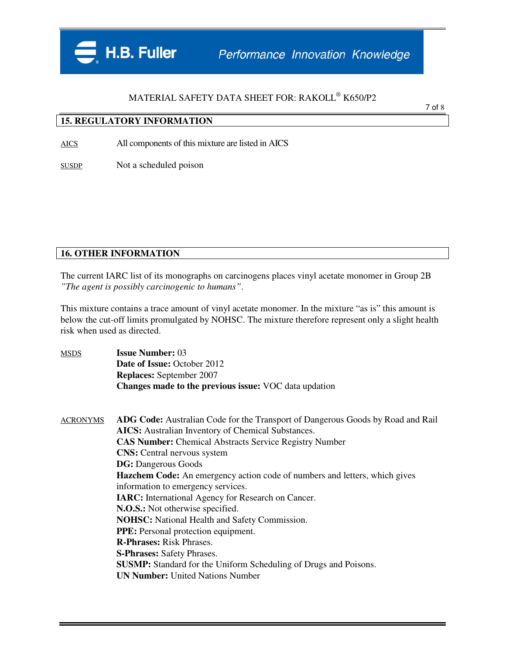### **15. REGULATORY INFORMATION**

AICS All components of this mixture are listed in AICS

SUSDP Not a scheduled poison

### **16. OTHER INFORMATION**

The current IARC list of its monographs on carcinogens places vinyl acetate monomer in Group 2B *"The agent is possibly carcinogenic to humans"*.

This mixture contains a trace amount of vinyl acetate monomer. In the mixture "as is" this amount is below the cut-off limits promulgated by NOHSC. The mixture therefore represent only a slight health risk when used as directed.

MSDS **Issue Number:** 03 **Date of Issue:** October 2012 **Replaces:** September 2007 **Changes made to the previous issue:** VOC data updation

ACRONYMS **ADG Code:** Australian Code for the Transport of Dangerous Goods by Road and Rail **AICS:** Australian Inventory of Chemical Substances. **CAS Number:** Chemical Abstracts Service Registry Number **CNS:** Central nervous system **DG:** Dangerous Goods **Hazchem Code:** An emergency action code of numbers and letters, which gives information to emergency services. **IARC:** International Agency for Research on Cancer. **N.O.S.:** Not otherwise specified. **NOHSC:** National Health and Safety Commission. **PPE:** Personal protection equipment. **R-Phrases:** Risk Phrases. **S-Phrases:** Safety Phrases. **SUSMP:** Standard for the Uniform Scheduling of Drugs and Poisons. **UN Number:** United Nations Number